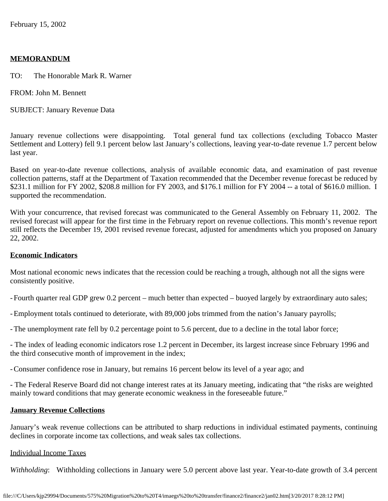#### **MEMORANDUM**

TO: The Honorable Mark R. Warner

FROM: John M. Bennett

SUBJECT: January Revenue Data

January revenue collections were disappointing. Total general fund tax collections (excluding Tobacco Master Settlement and Lottery) fell 9.1 percent below last January's collections, leaving year-to-date revenue 1.7 percent below last year.

Based on year-to-date revenue collections, analysis of available economic data, and examination of past revenue collection patterns, staff at the Department of Taxation recommended that the December revenue forecast be reduced by \$231.1 million for FY 2002, \$208.8 million for FY 2003, and \$176.1 million for FY 2004 -- a total of \$616.0 million. I supported the recommendation.

With your concurrence, that revised forecast was communicated to the General Assembly on February 11, 2002. The revised forecast will appear for the first time in the February report on revenue collections. This month's revenue report still reflects the December 19, 2001 revised revenue forecast, adjusted for amendments which you proposed on January 22, 2002.

#### **Economic Indicators**

Most national economic news indicates that the recession could be reaching a trough, although not all the signs were consistently positive.

- Fourth quarter real GDP grew 0.2 percent – much better than expected – buoyed largely by extraordinary auto sales;

-Employment totals continued to deteriorate, with 89,000 jobs trimmed from the nation's January payrolls;

-The unemployment rate fell by 0.2 percentage point to 5.6 percent, due to a decline in the total labor force;

- The index of leading economic indicators rose 1.2 percent in December, its largest increase since February 1996 and the third consecutive month of improvement in the index;

-Consumer confidence rose in January, but remains 16 percent below its level of a year ago; and

- The Federal Reserve Board did not change interest rates at its January meeting, indicating that "the risks are weighted mainly toward conditions that may generate economic weakness in the foreseeable future."

#### **January Revenue Collections**

January's weak revenue collections can be attributed to sharp reductions in individual estimated payments, continuing declines in corporate income tax collections, and weak sales tax collections.

#### Individual Income Taxes

*Withholding*: Withholding collections in January were 5.0 percent above last year. Year-to-date growth of 3.4 percent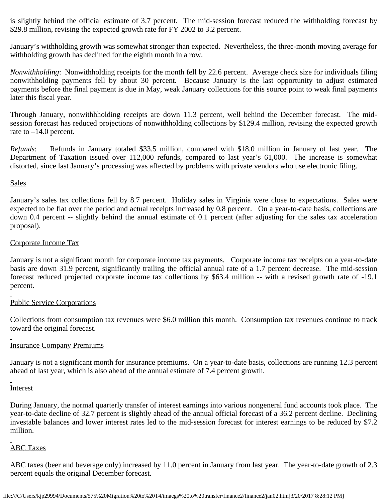is slightly behind the official estimate of 3.7 percent. The mid-session forecast reduced the withholding forecast by \$29.8 million, revising the expected growth rate for FY 2002 to 3.2 percent.

January's withholding growth was somewhat stronger than expected. Nevertheless, the three-month moving average for withholding growth has declined for the eighth month in a row.

*Nonwithholding*: Nonwithholding receipts for the month fell by 22.6 percent. Average check size for individuals filing nonwithholding payments fell by about 30 percent. Because January is the last opportunity to adjust estimated payments before the final payment is due in May, weak January collections for this source point to weak final payments later this fiscal year.

Through January, nonwithhholding receipts are down 11.3 percent, well behind the December forecast. The midsession forecast has reduced projections of nonwithholding collections by \$129.4 million, revising the expected growth rate to  $-14.0$  percent.

*Refunds*: Refunds in January totaled \$33.5 million, compared with \$18.0 million in January of last year. The Department of Taxation issued over 112,000 refunds, compared to last year's 61,000. The increase is somewhat distorted, since last January's processing was affected by problems with private vendors who use electronic filing.

### **Sales**

January's sales tax collections fell by 8.7 percent. Holiday sales in Virginia were close to expectations. Sales were expected to be flat over the period and actual receipts increased by 0.8 percent. On a year-to-date basis, collections are down 0.4 percent -- slightly behind the annual estimate of 0.1 percent (after adjusting for the sales tax acceleration proposal).

#### Corporate Income Tax

January is not a significant month for corporate income tax payments. Corporate income tax receipts on a year-to-date basis are down 31.9 percent, significantly trailing the official annual rate of a 1.7 percent decrease. The mid-session forecast reduced projected corporate income tax collections by \$63.4 million -- with a revised growth rate of -19.1 percent.

# Public Service Corporations

Collections from consumption tax revenues were \$6.0 million this month. Consumption tax revenues continue to track toward the original forecast.

# Insurance Company Premiums

January is not a significant month for insurance premiums. On a year-to-date basis, collections are running 12.3 percent ahead of last year, which is also ahead of the annual estimate of 7.4 percent growth.

# **Interest**

During January, the normal quarterly transfer of interest earnings into various nongeneral fund accounts took place. The year-to-date decline of 32.7 percent is slightly ahead of the annual official forecast of a 36.2 percent decline. Declining investable balances and lower interest rates led to the mid-session forecast for interest earnings to be reduced by \$7.2 million.

# ABC Taxes

ABC taxes (beer and beverage only) increased by 11.0 percent in January from last year. The year-to-date growth of 2.3 percent equals the original December forecast.